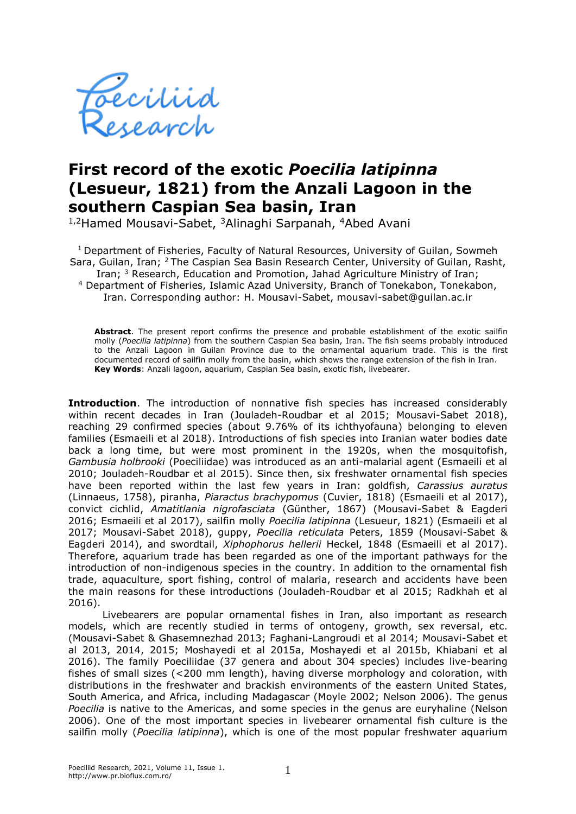

## **First record of the exotic** *Poecilia latipinna*  **(Lesueur, 1821) from the Anzali Lagoon in the southern Caspian Sea basin, Iran**

1,2Hamed Mousavi-Sabet, <sup>3</sup>Alinaghi Sarpanah, <sup>4</sup>Abed Avani

<sup>1</sup> Department of Fisheries, Faculty of Natural Resources, University of Guilan, Sowmeh Sara, Guilan, Iran; <sup>2</sup>The Caspian Sea Basin Research Center, University of Guilan, Rasht, Iran; <sup>3</sup> Research, Education and Promotion, Jahad Agriculture Ministry of Iran; <sup>4</sup> Department of Fisheries, Islamic Azad University, Branch of Tonekabon, Tonekabon, Iran. Corresponding author: H. Mousavi-Sabet, mousavi-sabet@guilan.ac.ir

**Abstract**. The present report confirms the presence and probable establishment of the exotic sailfin molly (*Poecilia latipinna*) from the southern Caspian Sea basin, Iran. The fish seems probably introduced to the Anzali Lagoon in Guilan Province due to the ornamental aquarium trade. This is the first documented record of sailfin molly from the basin, which shows the range extension of the fish in Iran. **Key Words**: Anzali lagoon, aquarium, Caspian Sea basin, exotic fish, livebearer.

**Introduction**. The introduction of nonnative fish species has increased considerably within recent decades in Iran (Jouladeh-Roudbar et al 2015; Mousavi-Sabet 2018), reaching 29 confirmed species (about 9.76% of its ichthyofauna) belonging to eleven families (Esmaeili et al 2018). Introductions of fish species into Iranian water bodies date back a long time, but were most prominent in the 1920s, when the mosquitofish, *Gambusia holbrooki* (Poeciliidae) was introduced as an anti-malarial agent (Esmaeili et al 2010; Jouladeh-Roudbar et al 2015). Since then, six freshwater ornamental fish species have been reported within the last few years in Iran: goldfish, *Carassius auratus* (Linnaeus, 1758), piranha, *Piaractus brachypomus* (Cuvier, 1818) (Esmaeili et al 2017), convict cichlid, *Amatitlania nigrofasciata* (Günther, 1867) (Mousavi-Sabet & Eagderi 2016; Esmaeili et al 2017), sailfin molly *Poecilia latipinna* (Lesueur, 1821) (Esmaeili et al 2017; Mousavi-Sabet 2018), guppy, *Poecilia reticulata* Peters, 1859 (Mousavi-Sabet & Eagderi 2014), and swordtail, *Xiphophorus hellerii* Heckel, 1848 (Esmaeili et al 2017). Therefore, aquarium trade has been regarded as one of the important pathways for the introduction of non-indigenous species in the country. In addition to the ornamental fish trade, aquaculture, sport fishing, control of malaria, research and accidents have been the main reasons for these introductions (Jouladeh-Roudbar et al 2015; Radkhah et al 2016).

Livebearers are popular ornamental fishes in Iran, also important as research models, which are recently studied in terms of ontogeny, growth, sex reversal, etc. (Mousavi-Sabet & Ghasemnezhad 2013; Faghani-Langroudi et al 2014; Mousavi-Sabet et al 2013, 2014, 2015; Moshayedi et al 2015a, Moshayedi et al 2015b, Khiabani et al 2016). The family Poeciliidae (37 genera and about 304 species) includes live-bearing fishes of small sizes (<200 mm length), having diverse morphology and coloration, with distributions in the freshwater and brackish environments of the eastern United States, South America, and Africa, including Madagascar (Moyle 2002; Nelson 2006). The genus *Poecilia* is native to the Americas, and some species in the genus are euryhaline (Nelson 2006). One of the most important species in livebearer ornamental fish culture is the sailfin molly (*Poecilia latipinna*), which is one of the most popular freshwater aquarium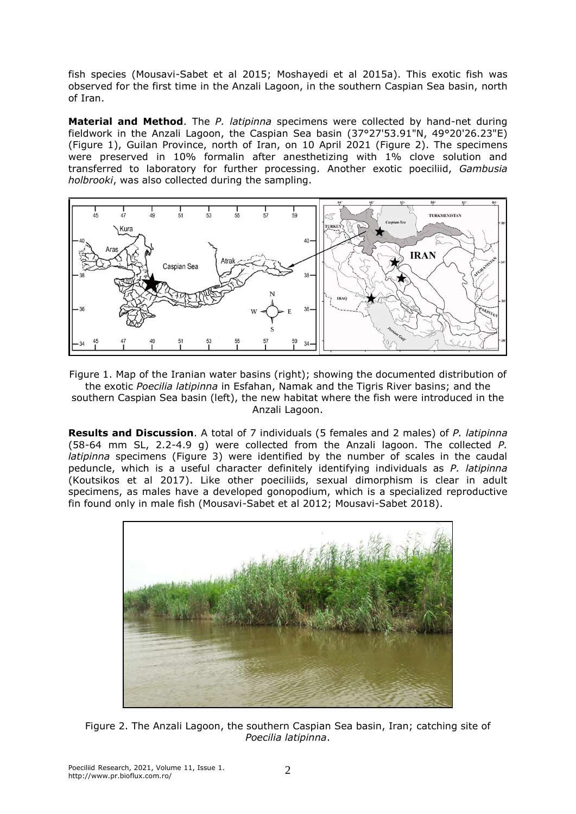fish species (Mousavi-Sabet et al 2015; Moshayedi et al 2015a). This exotic fish was observed for the first time in the Anzali Lagoon, in the southern Caspian Sea basin, north of Iran.

**Material and Method**. The *P. latipinna* specimens were collected by hand-net during fieldwork in the Anzali Lagoon, the Caspian Sea basin (37°27'53.91"N, 49°20'26.23"E) (Figure 1), Guilan Province, north of Iran, on 10 April 2021 (Figure 2). The specimens were preserved in 10% formalin after anesthetizing with 1% clove solution and transferred to laboratory for further processing. Another exotic poeciliid, *Gambusia holbrooki*, was also collected during the sampling.



Figure 1. Map of the Iranian water basins (right); showing the documented distribution of the exotic *Poecilia latipinna* in Esfahan, Namak and the Tigris River basins; and the southern Caspian Sea basin (left), the new habitat where the fish were introduced in the Anzali Lagoon.

**Results and Discussion**. A total of 7 individuals (5 females and 2 males) of *P. latipinna*  (58-64 mm SL, 2.2-4.9 g) were collected from the Anzali lagoon. The collected *P. latipinna* specimens (Figure 3) were identified by the number of scales in the caudal peduncle, which is a useful character definitely identifying individuals as *P. latipinna* (Koutsikos et al 2017). Like other poeciliids, sexual dimorphism is clear in adult specimens, as males have a developed gonopodium, which is a specialized reproductive fin found only in male fish (Mousavi-Sabet et al 2012; Mousavi-Sabet 2018).



Figure 2. The Anzali Lagoon, the southern Caspian Sea basin, Iran; catching site of *Poecilia latipinna*.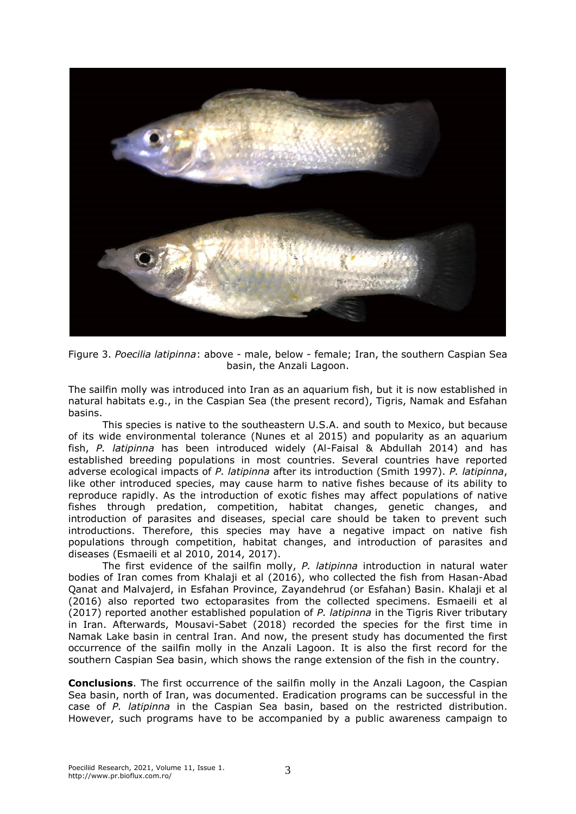

Figure 3. *Poecilia latipinna*: above - male, below - female; Iran, the southern Caspian Sea basin, the Anzali Lagoon.

The sailfin molly was introduced into Iran as an aquarium fish, but it is now established in natural habitats e.g., in the Caspian Sea (the present record), Tigris, Namak and Esfahan basins.

This species is native to the southeastern U.S.A. and south to Mexico, but because of its wide environmental tolerance (Nunes et al 2015) and popularity as an aquarium fish, *P. latipinna* has been introduced widely (Al-Faisal & Abdullah 2014) and has established breeding populations in most countries. Several countries have reported adverse ecological impacts of *P. latipinna* after its introduction (Smith 1997). *P. latipinna*, like other introduced species, may cause harm to native fishes because of its ability to reproduce rapidly. As the introduction of exotic fishes may affect populations of native fishes through predation, competition, habitat changes, genetic changes, and introduction of parasites and diseases, special care should be taken to prevent such introductions. Therefore, this species may have a negative impact on native fish populations through competition, habitat changes, and introduction of parasites and diseases (Esmaeili et al 2010, 2014, 2017).

The first evidence of the sailfin molly, *P. latipinna* introduction in natural water bodies of Iran comes from Khalaji et al (2016), who collected the fish from Hasan-Abad Qanat and Malvajerd, in Esfahan Province, Zayandehrud (or Esfahan) Basin. Khalaji et al (2016) also reported two ectoparasites from the collected specimens. Esmaeili et al (2017) reported another established population of *P. latipinna* in the Tigris River tributary in Iran. Afterwards, Mousavi-Sabet (2018) recorded the species for the first time in Namak Lake basin in central Iran. And now, the present study has documented the first occurrence of the sailfin molly in the Anzali Lagoon. It is also the first record for the southern Caspian Sea basin, which shows the range extension of the fish in the country.

**Conclusions**. The first occurrence of the sailfin molly in the Anzali Lagoon, the Caspian Sea basin, north of Iran, was documented. Eradication programs can be successful in the case of *P. latipinna* in the Caspian Sea basin, based on the restricted distribution. However, such programs have to be accompanied by a public awareness campaign to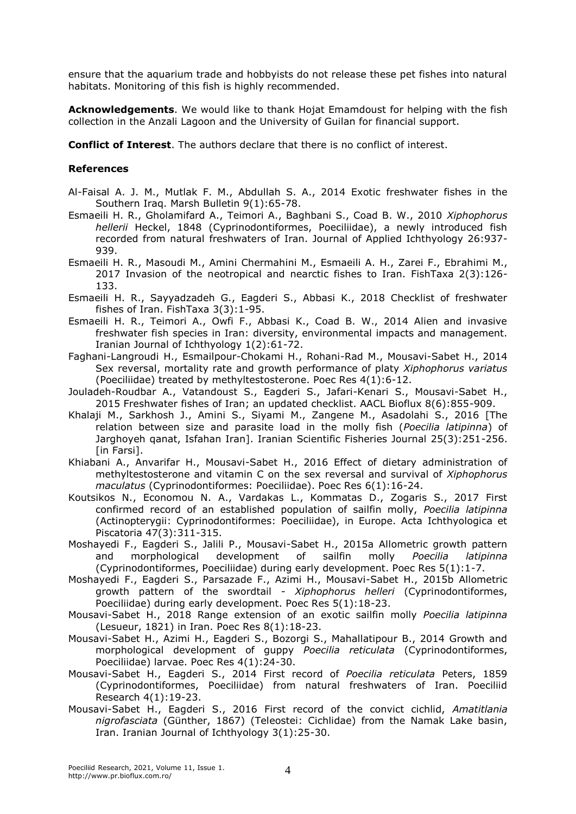ensure that the aquarium trade and hobbyists do not release these pet fishes into natural habitats. Monitoring of this fish is highly recommended.

**Acknowledgements**. We would like to thank Hojat Emamdoust for helping with the fish collection in the Anzali Lagoon and the University of Guilan for financial support.

**Conflict of Interest**. The authors declare that there is no conflict of interest.

## **References**

- Al-Faisal A. J. M., Mutlak F. M., Abdullah S. A., 2014 Exotic freshwater fishes in the Southern Iraq. Marsh Bulletin 9(1):65-78.
- Esmaeili H. R., Gholamifard A., Teimori A., Baghbani S., Coad B. W., 2010 *Xiphophorus hellerii* Heckel, 1848 (Cyprinodontiformes, Poeciliidae), a newly introduced fish recorded from natural freshwaters of Iran. Journal of Applied Ichthyology 26:937- 939.
- Esmaeili H. R., Masoudi M., Amini Chermahini M., Esmaeili A. H., Zarei F., Ebrahimi M., 2017 Invasion of the neotropical and nearctic fishes to Iran. FishTaxa 2(3):126- 133.
- Esmaeili H. R., Sayyadzadeh G., Eagderi S., Abbasi K., 2018 Checklist of freshwater fishes of Iran. FishTaxa 3(3):1-95.
- Esmaeili H. R., Teimori A., Owfi F., Abbasi K., Coad B. W., 2014 Alien and invasive freshwater fish species in Iran: diversity, environmental impacts and management. Iranian Journal of Ichthyology 1(2):61-72.
- Faghani-Langroudi H., Esmailpour-Chokami H., Rohani-Rad M., Mousavi-Sabet H., 2014 Sex reversal, mortality rate and growth performance of platy *Xiphophorus variatus*  (Poeciliidae) treated by methyltestosterone. Poec Res 4(1):6-12.
- Jouladeh-Roudbar A., Vatandoust S., Eagderi S., Jafari-Kenari S., Mousavi-Sabet H., 2015 Freshwater fishes of Iran; an updated checklist. AACL Bioflux 8(6):855-909.
- Khalaji M., Sarkhosh J., Amini S., Siyami M., Zangene M., Asadolahi S., 2016 [The relation between size and parasite load in the molly fish (*Poecilia latipinna*) of Jarghoyeh qanat, Isfahan Iran]. Iranian Scientific Fisheries Journal 25(3):251-256. [in Farsi].
- Khiabani A., Anvarifar H., Mousavi-Sabet H., 2016 Effect of dietary administration of methyltestosterone and vitamin C on the sex reversal and survival of *Xiphophorus maculatus* (Cyprinodontiformes: Poeciliidae). Poec Res 6(1):16-24.
- Koutsikos N., Economou N. A., Vardakas L., Kommatas D., Zogaris S., 2017 First confirmed record of an established population of sailfin molly, *Poecilia latipinna* (Actinopterygii: Cyprinodontiformes: Poeciliidae), in Europe. Acta Ichthyologica et Piscatoria 47(3):311-315.
- Moshayedi F., Eagderi S., Jalili P., Mousavi-Sabet H., 2015a Allometric growth pattern and morphological development of sailfin molly *Poecilia latipinna*  (Cyprinodontiformes, Poeciliidae) during early development. Poec Res 5(1):1-7.
- Moshayedi F., Eagderi S., Parsazade F., Azimi H., Mousavi-Sabet H., 2015b Allometric growth pattern of the swordtail - *Xiphophorus helleri* (Cyprinodontiformes, Poeciliidae) during early development. Poec Res 5(1):18-23.
- Mousavi-Sabet H., 2018 Range extension of an exotic sailfin molly *Poecilia latipinna* (Lesueur, 1821) in Iran. Poec Res 8(1):18-23.
- Mousavi-Sabet H., Azimi H., Eagderi S., Bozorgi S., Mahallatipour B., 2014 Growth and morphological development of guppy *Poecilia reticulata* (Cyprinodontiformes, Poeciliidae) larvae. Poec Res 4(1):24-30.
- Mousavi-Sabet H., Eagderi S., 2014 First record of *Poecilia reticulata* Peters, 1859 (Cyprinodontiformes, Poeciliidae) from natural freshwaters of Iran. Poeciliid Research 4(1):19-23.
- Mousavi-Sabet H., Eagderi S., 2016 First record of the convict cichlid, *Amatitlania nigrofasciata* (Günther, 1867) (Teleostei: Cichlidae) from the Namak Lake basin, Iran. Iranian Journal of Ichthyology 3(1):25-30.